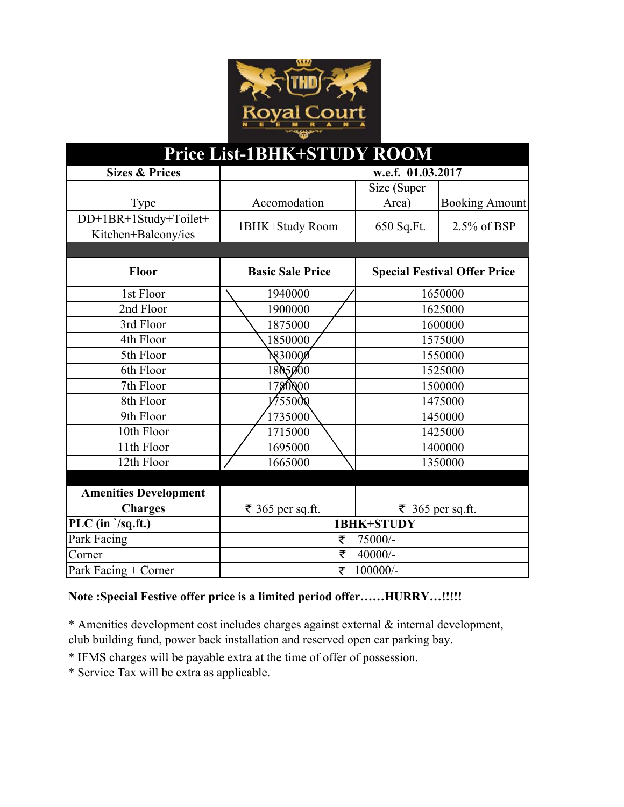

| Price List-1BHK+STUDY ROOM                              |                         |             |                                     |  |
|---------------------------------------------------------|-------------------------|-------------|-------------------------------------|--|
| <b>Sizes &amp; Prices</b>                               | w.e.f. 01.03.2017       |             |                                     |  |
|                                                         |                         | Size (Super |                                     |  |
| Type                                                    | Accomodation            | Area)       | <b>Booking Amount</b>               |  |
| DD+1BR+1Study+Toilet+<br>Kitchen+Balcony/ies            | 1BHK+Study Room         | 650 Sq.Ft.  | 2.5% of BSP                         |  |
|                                                         |                         |             |                                     |  |
| <b>Floor</b>                                            | <b>Basic Sale Price</b> |             | <b>Special Festival Offer Price</b> |  |
| 1st Floor                                               | 1940000                 |             | 1650000                             |  |
| 2nd Floor                                               | 1900000                 |             | 1625000                             |  |
| 3rd Floor                                               | 1875000                 | 1600000     |                                     |  |
| 4th Floor                                               | 1850000                 | 1575000     |                                     |  |
| 5th Floor                                               | <b>N</b> 30000          | 1550000     |                                     |  |
| 6th Floor                                               | 1805000                 | 1525000     |                                     |  |
| 7th Floor                                               | 1780000                 | 1500000     |                                     |  |
| 8th Floor                                               | 1/55000                 | 1475000     |                                     |  |
| 9th Floor                                               | 1735000                 |             | 1450000                             |  |
| 10th Floor                                              | 1715000                 | 1425000     |                                     |  |
| 11th Floor                                              | 1695000                 | 1400000     |                                     |  |
| 12th Floor                                              | 1665000                 | 1350000     |                                     |  |
|                                                         |                         |             |                                     |  |
| <b>Amenities Development</b>                            |                         |             |                                     |  |
| <b>Charges</b>                                          | ₹ 365 per sq.ft.        |             | ₹ 365 per sq.ft.                    |  |
| PLC $(\overline{\text{in }}\ \overline{\text{sg.ft.}})$ | 1BHK+STUDY              |             |                                     |  |
| Park Facing                                             | ₹<br>75000/-            |             |                                     |  |
| Corner                                                  | ₹<br>40000/-            |             |                                     |  |
| Park Facing + Corner                                    | 100000/-<br>₹           |             |                                     |  |

## **Note :Special Festive offer price is a limited period offer……HURRY…!!!!!**

\* Amenities development cost includes charges against external & internal development, club building fund, power back installation and reserved open car parking bay.

\* IFMS charges will be payable extra at the time of offer of possession. IFMS charges will be payable extra at the time of offer of

\* Service Tax will be extra as applicable.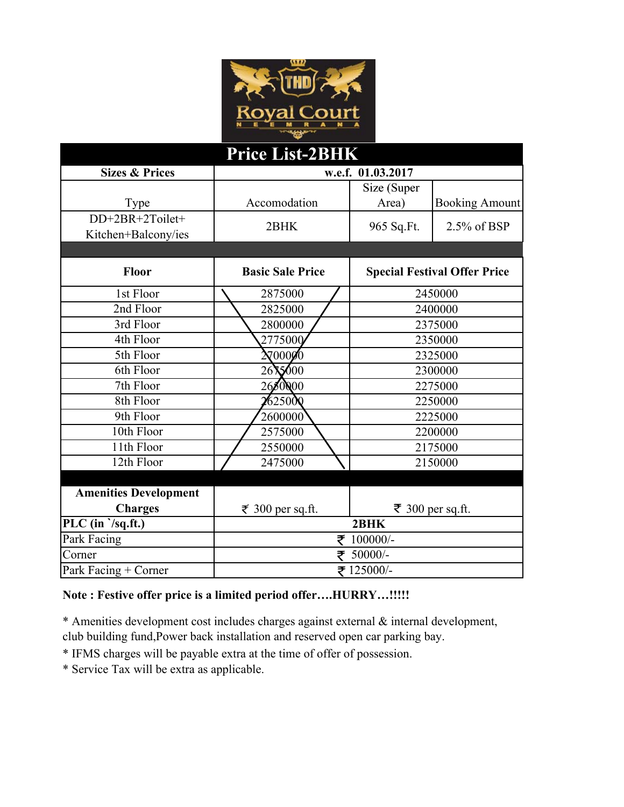

| Price List-2BHK                               |                         |                      |                                     |  |
|-----------------------------------------------|-------------------------|----------------------|-------------------------------------|--|
| <b>Sizes &amp; Prices</b>                     | w.e.f. 01.03.2017       |                      |                                     |  |
| Type                                          | Accomodation            | Size (Super<br>Area) | <b>Booking Amount</b>               |  |
| DD+2BR+2Toilet+<br>Kitchen+Balcony/ies        | 2BHK                    | 965 Sq.Ft.           | 2.5% of BSP                         |  |
|                                               |                         |                      |                                     |  |
| Floor                                         | <b>Basic Sale Price</b> |                      | <b>Special Festival Offer Price</b> |  |
| 1st Floor                                     | 2875000                 |                      | 2450000                             |  |
| 2nd Floor                                     | 2825000                 | 2400000              |                                     |  |
| 3rd Floor                                     | 2800000                 | 2375000              |                                     |  |
| 4th Floor                                     | 2775000                 | 2350000              |                                     |  |
| 5th Floor                                     | $\lambda$ 70000         | 2325000              |                                     |  |
| 6th Floor                                     | 2615000                 | 2300000              |                                     |  |
| 7th Floor                                     | 2680000                 |                      | 2275000                             |  |
| 8th Floor                                     | $\sqrt{6250}$           | 2250000              |                                     |  |
| 9th Floor                                     | 2600000                 |                      | 2225000                             |  |
| 10th Floor                                    | 2575000                 | 2200000              |                                     |  |
| 11th Floor                                    | 2550000                 | 2175000              |                                     |  |
| 12th Floor                                    | 2475000                 | 2150000              |                                     |  |
|                                               |                         |                      |                                     |  |
| <b>Amenities Development</b>                  |                         |                      |                                     |  |
| <b>Charges</b>                                | ₹ 300 per sq.ft.        |                      | ₹ 300 per sq.ft.                    |  |
| PLC $(\overline{\text{in }}\ \sqrt{sq.fit.})$ | 2BHK                    |                      |                                     |  |
| Park Facing                                   | 100000/-<br>₹           |                      |                                     |  |
| Corner                                        | 50000/-                 |                      |                                     |  |
| Park Facing + Corner                          | ₹ 125000/-              |                      |                                     |  |

## **Note : Festive offer price is a limited period offer….HURRY…!!!!!**

\* Amenities development cost includes charges against external & internal development, club building fund,Power back installation and reserved open car parking bay.

- \* IFMS charges will be payable extra at the time of offer of possession.
- \* Service Tax will be extra as applicable.